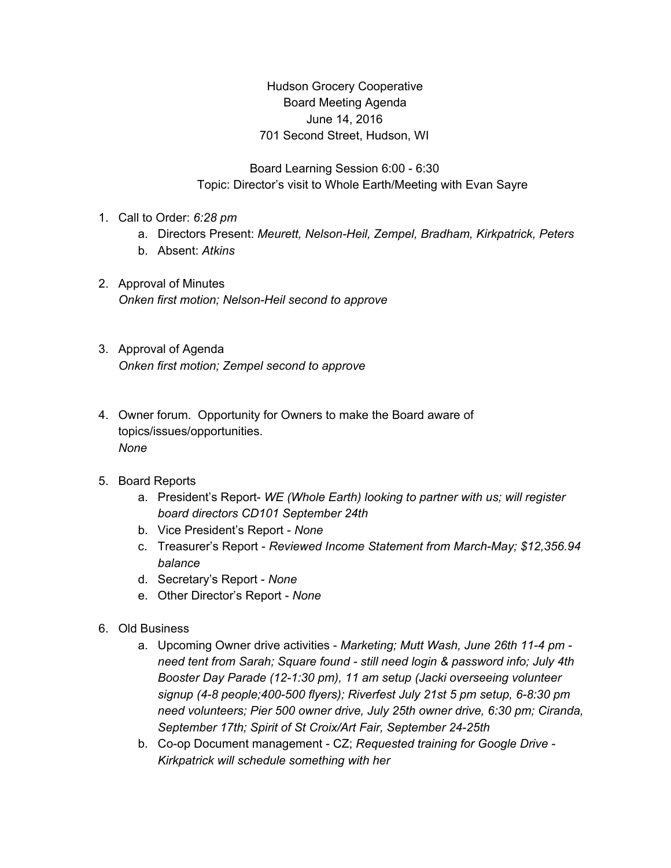Hudson Grocery Cooperative Board Meeting Agenda June 14, 2016 701 Second Street, Hudson, WI

Board Learning Session 6:00 - 6:30 Topic: Director's visit to Whole Earth/Meeting with Evan Sayre

- 1. Call to Order: *6:28 pm*
	- a. Directors Present: *Meurett, Nelson-Heil, Zempel, Bradham, Kirkpatrick, Peters*
	- b. Absent: *Atkins*
- 2. Approval of Minutes *Onken first motion; Nelson-Heil second to approve*
- 3. Approval of Agenda *Onken first motion; Zempel second to approve*
- 4. Owner forum. Opportunity for Owners to make the Board aware of topics/issues/opportunities. *None*
- 5. Board Reports
	- a. President's Report- *WE (Whole Earth) looking to partner with us; will register board directors CD101 September 24th*
	- b. Vice President's Report *None*
	- c. Treasurer's Report *Reviewed Income Statement from March-May; \$12,356.94 balance*
	- d. Secretary's Report *None*
	- e. Other Director's Report *None*
- 6. Old Business
	- a. Upcoming Owner drive activities *Marketing; Mutt Wash, June 26th 11-4 pm need tent from Sarah; Square found - still need login & password info; July 4th Booster Day Parade (12-1:30 pm), 11 am setup (Jacki overseeing volunteer signup (4-8 people;400-500 flyers); Riverfest July 21st 5 pm setup, 6-8:30 pm need volunteers; Pier 500 owner drive, July 25th owner drive, 6:30 pm; Ciranda, September 17th; Spirit of St Croix/Art Fair, September 24-25th*
	- b. Co-op Document management CZ; *Requested training for Google Drive - Kirkpatrick will schedule something with her*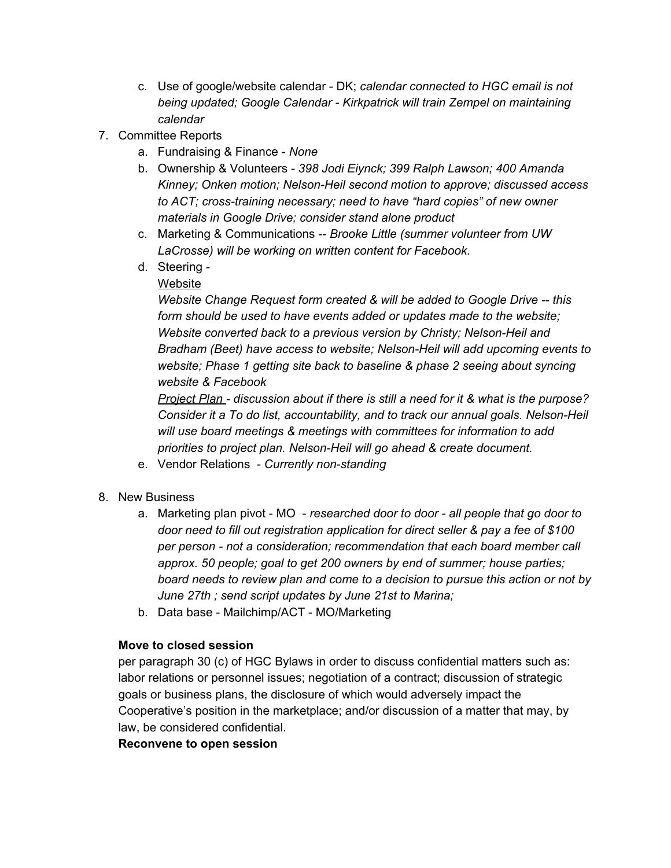- c. Use of google/website calendar DK; *calendar connected to HGC email is not being updated; Google Calendar - Kirkpatrick will train Zempel on maintaining calendar*
- 7. Committee Reports
	- a. Fundraising & Finance *None*
	- b. Ownership & Volunteers *398 Jodi Eiynck; 399 Ralph Lawson; 400 Amanda Kinney; Onken motion; Nelson-Heil second motion to approve; discussed access to ACT; cross-training necessary; need to have "hard copies" of new owner materials in Google Drive; consider stand alone product*
	- c. Marketing & Communications -- *Brooke Little (summer volunteer from UW LaCrosse) will be working on written content for Facebook.*
	- d. Steering
		- Website

*Website Change Request form created & will be added to Google Drive -- this form should be used to have events added or updates made to the website; Website converted back to a previous version by Christy; Nelson-Heil and Bradham (Beet) have access to website; Nelson-Heil will add upcoming events to website; Phase 1 getting site back to baseline & phase 2 seeing about syncing website & Facebook*

*Project Plan - discussion about if there is still a need for it & what is the purpose? Consider it a To do list, accountability, and to track our annual goals. Nelson-Heil will use board meetings & meetings with committees for information to add priorities to project plan. Nelson-Heil will go ahead & create document.*

- e. Vendor Relations *Currently non-standing*
- 8. New Business
	- a. Marketing plan pivot MO *researched door to door - all people that go door to door need to fill out registration application for direct seller & pay a fee of \$100 per person - not a consideration; recommendation that each board member call approx. 50 people; goal to get 200 owners by end of summer; house parties; board needs to review plan and come to a decision to pursue this action or not by June 27th ; send script updates by June 21st to Marina;*
	- b. Data base Mailchimp/ACT MO/Marketing

## **Move to closed session**

per paragraph 30 (c) of HGC Bylaws in order to discuss confidential matters such as: labor relations or personnel issues; negotiation of a contract; discussion of strategic goals or business plans, the disclosure of which would adversely impact the Cooperative's position in the marketplace; and/or discussion of a matter that may, by law, be considered confidential.

## **Reconvene to open session**